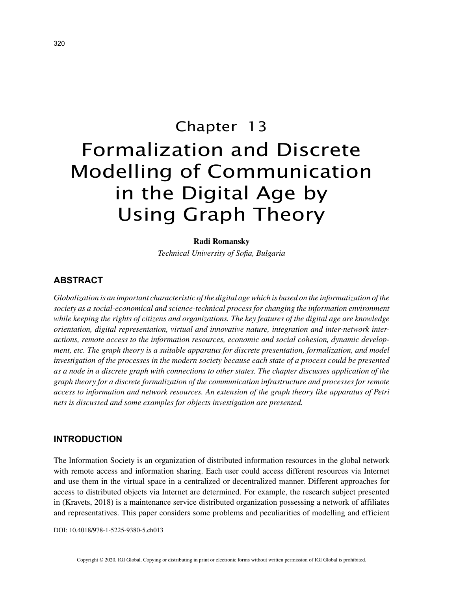# Chapter 13 Formalization and Discrete Modelling of Communication in the Digital Age by Using Graph Theory

#### **Radi Romansky**

*Technical University of Sofia, Bulgaria*

# **ABSTRACT**

*Globalization is an important characteristic of the digital age which is based on the informatization of the society as a social-economical and science-technical process for changing the information environment while keeping the rights of citizens and organizations. The key features of the digital age are knowledge orientation, digital representation, virtual and innovative nature, integration and inter-network interactions, remote access to the information resources, economic and social cohesion, dynamic development, etc. The graph theory is a suitable apparatus for discrete presentation, formalization, and model investigation of the processes in the modern society because each state of a process could be presented as a node in a discrete graph with connections to other states. The chapter discusses application of the graph theory for a discrete formalization of the communication infrastructure and processes for remote access to information and network resources. An extension of the graph theory like apparatus of Petri nets is discussed and some examples for objects investigation are presented.*

## **INTRODUCTION**

The Information Society is an organization of distributed information resources in the global network with remote access and information sharing. Each user could access different resources via Internet and use them in the virtual space in a centralized or decentralized manner. Different approaches for access to distributed objects via Internet are determined. For example, the research subject presented in (Kravets, 2018) is a maintenance service distributed organization possessing a network of affiliates and representatives. This paper considers some problems and peculiarities of modelling and efficient

DOI: 10.4018/978-1-5225-9380-5.ch013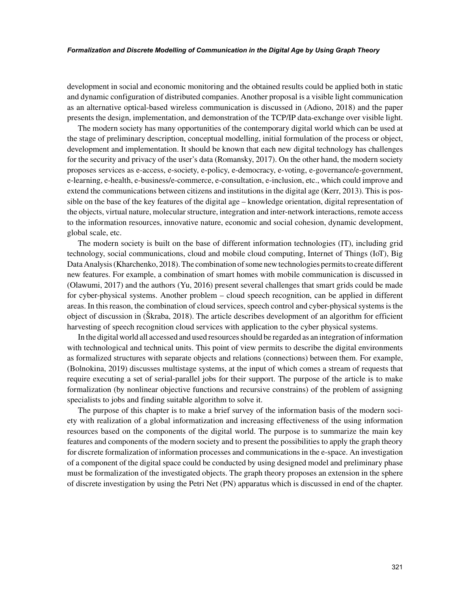#### *Formalization and Discrete Modelling of Communication in the Digital Age by Using Graph Theory*

development in social and economic monitoring and the obtained results could be applied both in static and dynamic configuration of distributed companies. Another proposal is a visible light communication as an alternative optical-based wireless communication is discussed in (Adiono, 2018) and the paper presents the design, implementation, and demonstration of the TCP/IP data-exchange over visible light.

The modern society has many opportunities of the contemporary digital world which can be used at the stage of preliminary description, conceptual modelling, initial formulation of the process or object, development and implementation. It should be known that each new digital technology has challenges for the security and privacy of the user's data (Romansky, 2017). On the other hand, the modern society proposes services as e-access, e-society, e-policy, e-democracy, e-voting, e-governance/e-government, e-learning, e-health, e-business/e-commerce, e-consultation, e-inclusion, etc., which could improve and extend the communications between citizens and institutions in the digital age (Kerr, 2013). This is possible on the base of the key features of the digital age – knowledge orientation, digital representation of the objects, virtual nature, molecular structure, integration and inter-network interactions, remote access to the information resources, innovative nature, economic and social cohesion, dynamic development, global scale, etc.

The modern society is built on the base of different information technologies (IT), including grid technology, social communications, cloud and mobile cloud computing, Internet of Things (IoT), Big Data Analysis (Kharchenko, 2018). The combination of some new technologies permits to create different new features. For example, a combination of smart homes with mobile communication is discussed in (Olawumi, 2017) and the authors (Yu, 2016) present several challenges that smart grids could be made for cyber-physical systems. Another problem – cloud speech recognition, can be applied in different areas. In this reason, the combination of cloud services, speech control and cyber-physical systems is the object of discussion in (Škraba, 2018). The article describes development of an algorithm for efficient harvesting of speech recognition cloud services with application to the cyber physical systems.

In the digital world all accessed and used resources should be regarded as an integration of information with technological and technical units. This point of view permits to describe the digital environments as formalized structures with separate objects and relations (connections) between them. For example, (Bolnokina, 2019) discusses multistage systems, at the input of which comes a stream of requests that require executing a set of serial-parallel jobs for their support. The purpose of the article is to make formalization (by nonlinear objective functions and recursive constrains) of the problem of assigning specialists to jobs and finding suitable algorithm to solve it.

The purpose of this chapter is to make a brief survey of the information basis of the modern society with realization of a global informatization and increasing effectiveness of the using information resources based on the components of the digital world. The purpose is to summarize the main key features and components of the modern society and to present the possibilities to apply the graph theory for discrete formalization of information processes and communications in the e-space. An investigation of a component of the digital space could be conducted by using designed model and preliminary phase must be formalization of the investigated objects. The graph theory proposes an extension in the sphere of discrete investigation by using the Petri Net (PN) apparatus which is discussed in end of the chapter.